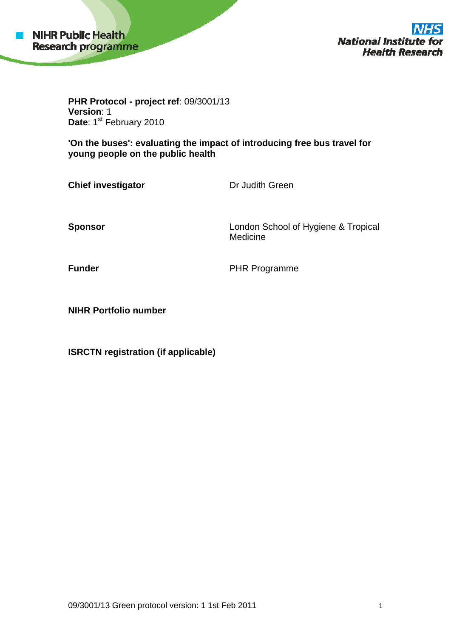

**National Institute Health Research** 

**PHR Protocol - project ref**: 09/3001/13 **Version**: 1 Date: 1<sup>st</sup> February 2010

**'On the buses': evaluating the impact of introducing free bus travel for young people on the public health** 

**Chief investigator Dr Judith Green** 

**Sponsor** London School of Hygiene & Tropical Medicine

**Funder PHR Programme** 

**NIHR Portfolio number** 

**ISRCTN registration (if applicable)**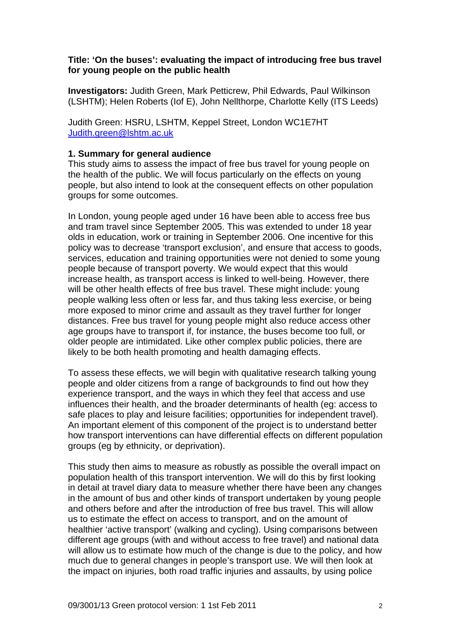## **Title: 'On the buses': evaluating the impact of introducing free bus travel for young people on the public health**

**Investigators:** Judith Green, Mark Petticrew, Phil Edwards, Paul Wilkinson (LSHTM); Helen Roberts (Iof E), John Nellthorpe, Charlotte Kelly (ITS Leeds)

Judith Green: HSRU, LSHTM, Keppel Street, London WC1E7HT [Judith.green@lshtm.ac.uk](mailto:Judith.green@lshtm.ac.uk)

## **1. Summary for general audience**

This study aims to assess the impact of free bus travel for young people on the health of the public. We will focus particularly on the effects on young people, but also intend to look at the consequent effects on other population groups for some outcomes.

In London, young people aged under 16 have been able to access free bus and tram travel since September 2005. This was extended to under 18 year olds in education, work or training in September 2006. One incentive for this policy was to decrease 'transport exclusion', and ensure that access to goods, services, education and training opportunities were not denied to some young people because of transport poverty. We would expect that this would increase health, as transport access is linked to well-being. However, there will be other health effects of free bus travel. These might include: young people walking less often or less far, and thus taking less exercise, or being more exposed to minor crime and assault as they travel further for longer distances. Free bus travel for young people might also reduce access other age groups have to transport if, for instance, the buses become too full, or older people are intimidated. Like other complex public policies, there are likely to be both health promoting and health damaging effects.

To assess these effects, we will begin with qualitative research talking young people and older citizens from a range of backgrounds to find out how they experience transport, and the ways in which they feel that access and use influences their health, and the broader determinants of health (eg: access to safe places to play and leisure facilities; opportunities for independent travel). An important element of this component of the project is to understand better how transport interventions can have differential effects on different population groups (eg by ethnicity, or deprivation).

This study then aims to measure as robustly as possible the overall impact on population health of this transport intervention. We will do this by first looking in detail at travel diary data to measure whether there have been any changes in the amount of bus and other kinds of transport undertaken by young people and others before and after the introduction of free bus travel. This will allow us to estimate the effect on access to transport, and on the amount of healthier 'active transport' (walking and cycling). Using comparisons between different age groups (with and without access to free travel) and national data will allow us to estimate how much of the change is due to the policy, and how much due to general changes in people's transport use. We will then look at the impact on injuries, both road traffic injuries and assaults, by using police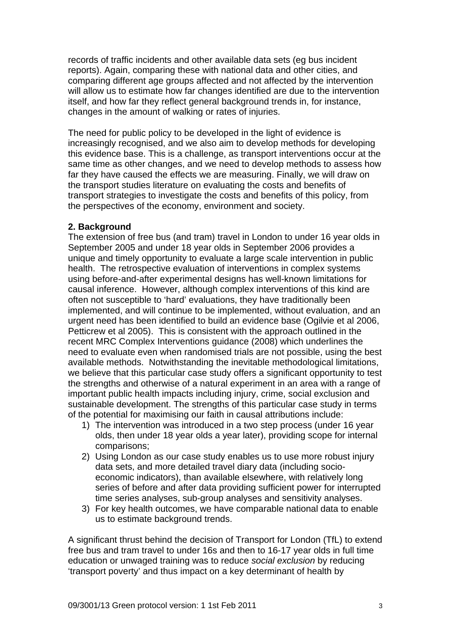records of traffic incidents and other available data sets (eg bus incident reports). Again, comparing these with national data and other cities, and comparing different age groups affected and not affected by the intervention will allow us to estimate how far changes identified are due to the intervention itself, and how far they reflect general background trends in, for instance, changes in the amount of walking or rates of injuries.

The need for public policy to be developed in the light of evidence is increasingly recognised, and we also aim to develop methods for developing this evidence base. This is a challenge, as transport interventions occur at the same time as other changes, and we need to develop methods to assess how far they have caused the effects we are measuring. Finally, we will draw on the transport studies literature on evaluating the costs and benefits of transport strategies to investigate the costs and benefits of this policy, from the perspectives of the economy, environment and society.

## **2. Background**

The extension of free bus (and tram) travel in London to under 16 year olds in September 2005 and under 18 year olds in September 2006 provides a unique and timely opportunity to evaluate a large scale intervention in public health. The retrospective evaluation of interventions in complex systems using before-and-after experimental designs has well-known limitations for causal inference. However, although complex interventions of this kind are often not susceptible to 'hard' evaluations, they have traditionally been implemented, and will continue to be implemented, without evaluation, and an urgent need has been identified to build an evidence base (Ogilvie et al 2006, Petticrew et al 2005). This is consistent with the approach outlined in the recent MRC Complex Interventions guidance (2008) which underlines the need to evaluate even when randomised trials are not possible, using the best available methods. Notwithstanding the inevitable methodological limitations, we believe that this particular case study offers a significant opportunity to test the strengths and otherwise of a natural experiment in an area with a range of important public health impacts including injury, crime, social exclusion and sustainable development. The strengths of this particular case study in terms of the potential for maximising our faith in causal attributions include:

- 1) The intervention was introduced in a two step process (under 16 year olds, then under 18 year olds a year later), providing scope for internal comparisons;
- 2) Using London as our case study enables us to use more robust injury data sets, and more detailed travel diary data (including socioeconomic indicators), than available elsewhere, with relatively long series of before and after data providing sufficient power for interrupted time series analyses, sub-group analyses and sensitivity analyses.
- 3) For key health outcomes, we have comparable national data to enable us to estimate background trends.

A significant thrust behind the decision of Transport for London (TfL) to extend free bus and tram travel to under 16s and then to 16-17 year olds in full time education or unwaged training was to reduce *social exclusion* by reducing 'transport poverty' and thus impact on a key determinant of health by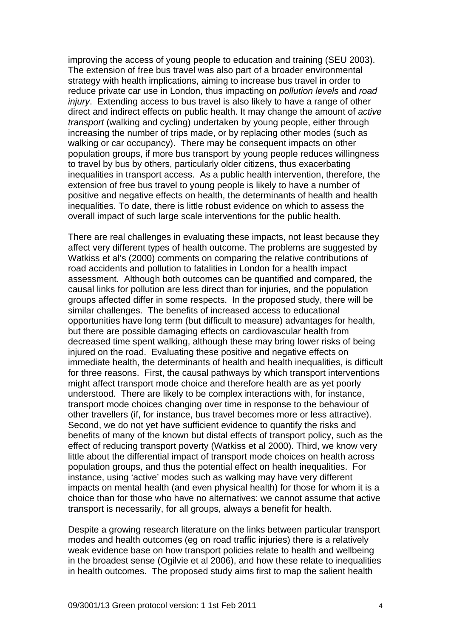improving the access of young people to education and training (SEU 2003). The extension of free bus travel was also part of a broader environmental strategy with health implications, aiming to increase bus travel in order to reduce private car use in London, thus impacting on *pollution levels* and *road injury*. Extending access to bus travel is also likely to have a range of other direct and indirect effects on public health. It may change the amount of *active transport* (walking and cycling) undertaken by young people, either through increasing the number of trips made, or by replacing other modes (such as walking or car occupancy). There may be consequent impacts on other population groups, if more bus transport by young people reduces willingness to travel by bus by others, particularly older citizens, thus exacerbating inequalities in transport access. As a public health intervention, therefore, the extension of free bus travel to young people is likely to have a number of positive and negative effects on health, the determinants of health and health inequalities. To date, there is little robust evidence on which to assess the overall impact of such large scale interventions for the public health.

There are real challenges in evaluating these impacts, not least because they affect very different types of health outcome. The problems are suggested by Watkiss et al's (2000) comments on comparing the relative contributions of road accidents and pollution to fatalities in London for a health impact assessment. Although both outcomes can be quantified and compared, the causal links for pollution are less direct than for injuries, and the population groups affected differ in some respects. In the proposed study, there will be similar challenges. The benefits of increased access to educational opportunities have long term (but difficult to measure) advantages for health, but there are possible damaging effects on cardiovascular health from decreased time spent walking, although these may bring lower risks of being injured on the road. Evaluating these positive and negative effects on immediate health, the determinants of health and health inequalities, is difficult for three reasons. First, the causal pathways by which transport interventions might affect transport mode choice and therefore health are as yet poorly understood. There are likely to be complex interactions with, for instance, transport mode choices changing over time in response to the behaviour of other travellers (if, for instance, bus travel becomes more or less attractive). Second, we do not yet have sufficient evidence to quantify the risks and benefits of many of the known but distal effects of transport policy, such as the effect of reducing transport poverty (Watkiss et al 2000). Third, we know very little about the differential impact of transport mode choices on health across population groups, and thus the potential effect on health inequalities. For instance, using 'active' modes such as walking may have very different impacts on mental health (and even physical health) for those for whom it is a choice than for those who have no alternatives: we cannot assume that active transport is necessarily, for all groups, always a benefit for health.

Despite a growing research literature on the links between particular transport modes and health outcomes (eg on road traffic injuries) there is a relatively weak evidence base on how transport policies relate to health and wellbeing in the broadest sense (Ogilvie et al 2006), and how these relate to inequalities in health outcomes. The proposed study aims first to map the salient health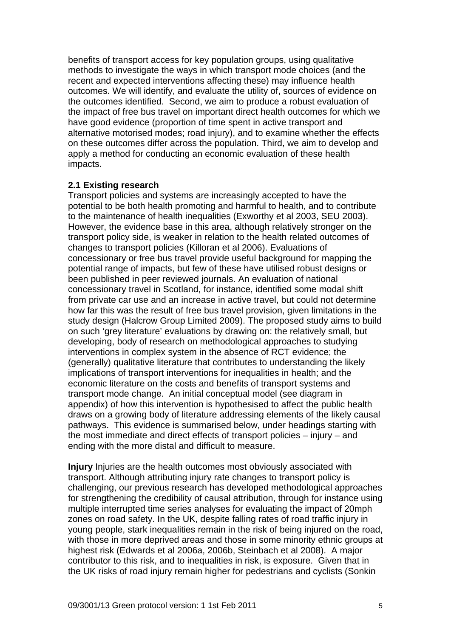benefits of transport access for key population groups, using qualitative methods to investigate the ways in which transport mode choices (and the recent and expected interventions affecting these) may influence health outcomes. We will identify, and evaluate the utility of, sources of evidence on the outcomes identified. Second, we aim to produce a robust evaluation of the impact of free bus travel on important direct health outcomes for which we have good evidence (proportion of time spent in active transport and alternative motorised modes; road injury), and to examine whether the effects on these outcomes differ across the population. Third, we aim to develop and apply a method for conducting an economic evaluation of these health impacts.

#### **2.1 Existing research**

Transport policies and systems are increasingly accepted to have the potential to be both health promoting and harmful to health, and to contribute to the maintenance of health inequalities (Exworthy et al 2003, SEU 2003). However, the evidence base in this area, although relatively stronger on the transport policy side, is weaker in relation to the health related outcomes of changes to transport policies (Killoran et al 2006). Evaluations of concessionary or free bus travel provide useful background for mapping the potential range of impacts, but few of these have utilised robust designs or been published in peer reviewed journals. An evaluation of national concessionary travel in Scotland, for instance, identified some modal shift from private car use and an increase in active travel, but could not determine how far this was the result of free bus travel provision, given limitations in the study design (Halcrow Group Limited 2009). The proposed study aims to build on such 'grey literature' evaluations by drawing on: the relatively small, but developing, body of research on methodological approaches to studying interventions in complex system in the absence of RCT evidence; the (generally) qualitative literature that contributes to understanding the likely implications of transport interventions for inequalities in health; and the economic literature on the costs and benefits of transport systems and transport mode change. An initial conceptual model (see diagram in appendix) of how this intervention is hypothesised to affect the public health draws on a growing body of literature addressing elements of the likely causal pathways. This evidence is summarised below, under headings starting with the most immediate and direct effects of transport policies – injury – and ending with the more distal and difficult to measure.

**Injury** Injuries are the health outcomes most obviously associated with transport. Although attributing injury rate changes to transport policy is challenging, our previous research has developed methodological approaches for strengthening the credibility of causal attribution, through for instance using multiple interrupted time series analyses for evaluating the impact of 20mph zones on road safety. In the UK, despite falling rates of road traffic injury in young people, stark inequalities remain in the risk of being injured on the road, with those in more deprived areas and those in some minority ethnic groups at highest risk (Edwards et al 2006a, 2006b, Steinbach et al 2008). A major contributor to this risk, and to inequalities in risk, is exposure. Given that in the UK risks of road injury remain higher for pedestrians and cyclists (Sonkin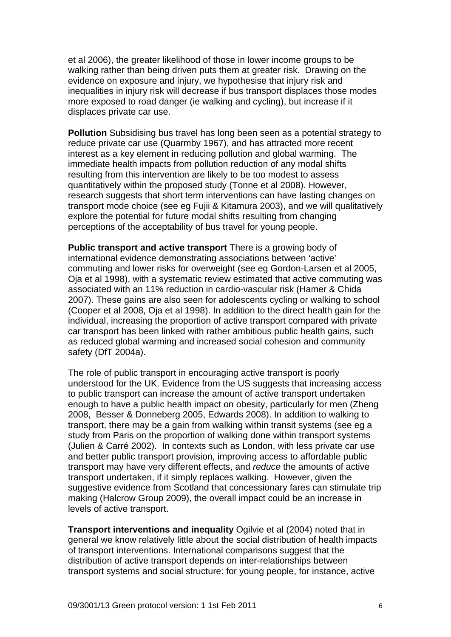et al 2006), the greater likelihood of those in lower income groups to be walking rather than being driven puts them at greater risk. Drawing on the evidence on exposure and injury, we hypothesise that injury risk and inequalities in injury risk will decrease if bus transport displaces those modes more exposed to road danger (ie walking and cycling), but increase if it displaces private car use.

**Pollution** Subsidising bus travel has long been seen as a potential strategy to reduce private car use (Quarmby 1967), and has attracted more recent interest as a key element in reducing pollution and global warming. The immediate health impacts from pollution reduction of any modal shifts resulting from this intervention are likely to be too modest to assess quantitatively within the proposed study (Tonne et al 2008). However, research suggests that short term interventions can have lasting changes on transport mode choice (see eg Fujii & Kitamura 2003), and we will qualitatively explore the potential for future modal shifts resulting from changing perceptions of the acceptability of bus travel for young people.

**Public transport and active transport** There is a growing body of international evidence demonstrating associations between 'active' commuting and lower risks for overweight (see eg Gordon-Larsen et al 2005, Oja et al 1998), with a systematic review estimated that active commuting was associated with an 11% reduction in cardio-vascular risk (Hamer & Chida 2007). These gains are also seen for adolescents cycling or walking to school (Cooper et al 2008, Oja et al 1998). In addition to the direct health gain for the individual, increasing the proportion of active transport compared with private car transport has been linked with rather ambitious public health gains, such as reduced global warming and increased social cohesion and community safety (DfT 2004a).

The role of public transport in encouraging active transport is poorly understood for the UK. Evidence from the US suggests that increasing access to public transport can increase the amount of active transport undertaken enough to have a public health impact on obesity, particularly for men (Zheng 2008, Besser & Donneberg 2005, Edwards 2008). In addition to walking to transport, there may be a gain from walking within transit systems (see eg a study from Paris on the proportion of walking done within transport systems (Julien & Carré 2002). In contexts such as London, with less private car use and better public transport provision, improving access to affordable public transport may have very different effects, and *reduce* the amounts of active transport undertaken, if it simply replaces walking. However, given the suggestive evidence from Scotland that concessionary fares can stimulate trip making (Halcrow Group 2009), the overall impact could be an increase in levels of active transport.

**Transport interventions and inequality Ogilvie et al (2004) noted that in** general we know relatively little about the social distribution of health impacts of transport interventions. International comparisons suggest that the distribution of active transport depends on inter-relationships between transport systems and social structure: for young people, for instance, active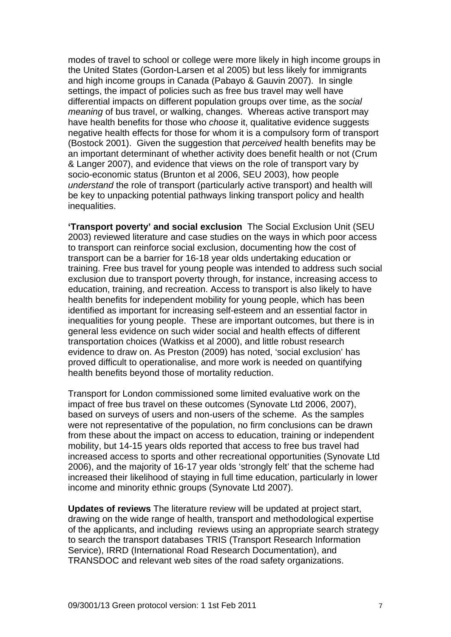modes of travel to school or college were more likely in high income groups in the United States (Gordon-Larsen et al 2005) but less likely for immigrants and high income groups in Canada (Pabayo & Gauvin 2007). In single settings, the impact of policies such as free bus travel may well have differential impacts on different population groups over time, as the *social meaning* of bus travel, or walking, changes. Whereas active transport may have health benefits for those who *choose* it, qualitative evidence suggests negative health effects for those for whom it is a compulsory form of transport (Bostock 2001). Given the suggestion that *perceived* health benefits may be an important determinant of whether activity does benefit health or not (Crum & Langer 2007), and evidence that views on the role of transport vary by socio-economic status (Brunton et al 2006, SEU 2003), how people *understand* the role of transport (particularly active transport) and health will be key to unpacking potential pathways linking transport policy and health inequalities.

**'Transport poverty' and social exclusion** The Social Exclusion Unit (SEU 2003) reviewed literature and case studies on the ways in which poor access to transport can reinforce social exclusion, documenting how the cost of transport can be a barrier for 16-18 year olds undertaking education or training. Free bus travel for young people was intended to address such social exclusion due to transport poverty through, for instance, increasing access to education, training, and recreation. Access to transport is also likely to have health benefits for independent mobility for young people, which has been identified as important for increasing self-esteem and an essential factor in inequalities for young people. These are important outcomes, but there is in general less evidence on such wider social and health effects of different transportation choices (Watkiss et al 2000), and little robust research evidence to draw on. As Preston (2009) has noted, 'social exclusion' has proved difficult to operationalise, and more work is needed on quantifying health benefits beyond those of mortality reduction.

Transport for London commissioned some limited evaluative work on the impact of free bus travel on these outcomes (Synovate Ltd 2006, 2007), based on surveys of users and non-users of the scheme. As the samples were not representative of the population, no firm conclusions can be drawn from these about the impact on access to education, training or independent mobility, but 14-15 years olds reported that access to free bus travel had increased access to sports and other recreational opportunities (Synovate Ltd 2006), and the majority of 16-17 year olds 'strongly felt' that the scheme had increased their likelihood of staying in full time education, particularly in lower income and minority ethnic groups (Synovate Ltd 2007).

**Updates of reviews** The literature review will be updated at project start, drawing on the wide range of health, transport and methodological expertise of the applicants, and including reviews using an appropriate search strategy to search the transport databases TRIS (Transport Research Information Service), IRRD (International Road Research Documentation), and TRANSDOC and relevant web sites of the road safety organizations.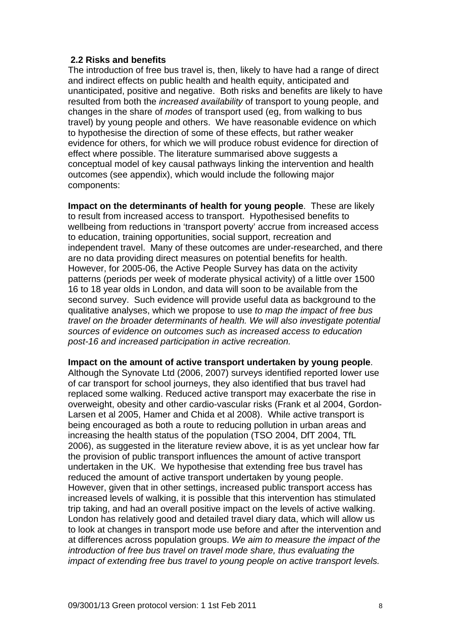# **2.2 Risks and benefits**

The introduction of free bus travel is, then, likely to have had a range of direct and indirect effects on public health and health equity, anticipated and unanticipated, positive and negative. Both risks and benefits are likely to have resulted from both the *increased availability* of transport to young people, and changes in the share of *modes* of transport used (eg, from walking to bus travel) by young people and others. We have reasonable evidence on which to hypothesise the direction of some of these effects, but rather weaker evidence for others, for which we will produce robust evidence for direction of effect where possible. The literature summarised above suggests a conceptual model of key causal pathways linking the intervention and health outcomes (see appendix), which would include the following major components:

**Impact on the determinants of health for young people**. These are likely to result from increased access to transport. Hypothesised benefits to wellbeing from reductions in 'transport poverty' accrue from increased access to education, training opportunities, social support, recreation and independent travel. Many of these outcomes are under-researched, and there are no data providing direct measures on potential benefits for health. However, for 2005-06, the Active People Survey has data on the activity patterns (periods per week of moderate physical activity) of a little over 1500 16 to 18 year olds in London, and data will soon to be available from the second survey. Such evidence will provide useful data as background to the qualitative analyses, which we propose to use *to map the impact of free bus travel on the broader determinants of health. We will also investigate potential sources of evidence on outcomes such as increased access to education post-16 and increased participation in active recreation.* 

#### **Impact on the amount of active transport undertaken by young people**.

Although the Synovate Ltd (2006, 2007) surveys identified reported lower use of car transport for school journeys, they also identified that bus travel had replaced some walking. Reduced active transport may exacerbate the rise in overweight, obesity and other cardio-vascular risks (Frank et al 2004, Gordon-Larsen et al 2005, Hamer and Chida et al 2008). While active transport is being encouraged as both a route to reducing pollution in urban areas and increasing the health status of the population (TSO 2004, DfT 2004, TfL 2006), as suggested in the literature review above, it is as yet unclear how far the provision of public transport influences the amount of active transport undertaken in the UK. We hypothesise that extending free bus travel has reduced the amount of active transport undertaken by young people. However, given that in other settings, increased public transport access has increased levels of walking, it is possible that this intervention has stimulated trip taking, and had an overall positive impact on the levels of active walking. London has relatively good and detailed travel diary data, which will allow us to look at changes in transport mode use before and after the intervention and at differences across population groups. *We aim to measure the impact of the introduction of free bus travel on travel mode share, thus evaluating the impact of extending free bus travel to young people on active transport levels.*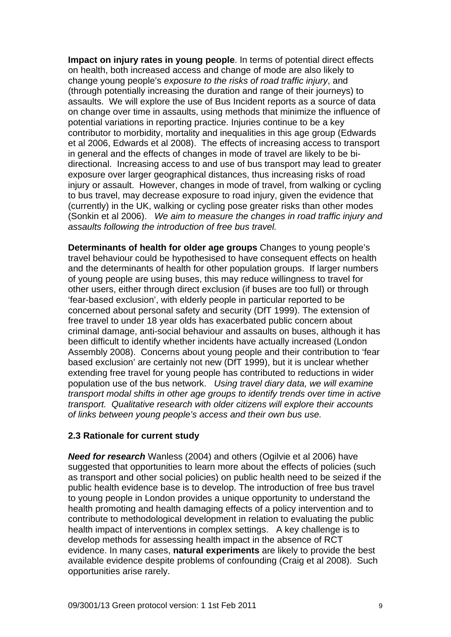**Impact on injury rates in young people**. In terms of potential direct effects on health, both increased access and change of mode are also likely to change young people's *exposure to the risks of road traffic injury*, and (through potentially increasing the duration and range of their journeys) to assaults. We will explore the use of Bus Incident reports as a source of data on change over time in assaults, using methods that minimize the influence of potential variations in reporting practice. Injuries continue to be a key contributor to morbidity, mortality and inequalities in this age group (Edwards et al 2006, Edwards et al 2008). The effects of increasing access to transport in general and the effects of changes in mode of travel are likely to be bidirectional. Increasing access to and use of bus transport may lead to greater exposure over larger geographical distances, thus increasing risks of road injury or assault. However, changes in mode of travel, from walking or cycling to bus travel, may decrease exposure to road injury, given the evidence that (currently) in the UK, walking or cycling pose greater risks than other modes (Sonkin et al 2006). *We aim to measure the changes in road traffic injury and assaults following the introduction of free bus travel.*

**Determinants of health for older age groups** Changes to young people's travel behaviour could be hypothesised to have consequent effects on health and the determinants of health for other population groups. If larger numbers of young people are using buses, this may reduce willingness to travel for other users, either through direct exclusion (if buses are too full) or through 'fear-based exclusion', with elderly people in particular reported to be concerned about personal safety and security (DfT 1999). The extension of free travel to under 18 year olds has exacerbated public concern about criminal damage, anti-social behaviour and assaults on buses, although it has been difficult to identify whether incidents have actually increased (London Assembly 2008). Concerns about young people and their contribution to 'fear based exclusion' are certainly not new (DfT 1999), but it is unclear whether extending free travel for young people has contributed to reductions in wider population use of the bus network. *Using travel diary data, we will examine transport modal shifts in other age groups to identify trends over time in active transport. Qualitative research with older citizens will explore their accounts of links between young people's access and their own bus use.* 

# **2.3 Rationale for current study**

*Need for research* Wanless (2004) and others (Ogilvie et al 2006) have suggested that opportunities to learn more about the effects of policies (such as transport and other social policies) on public health need to be seized if the public health evidence base is to develop. The introduction of free bus travel to young people in London provides a unique opportunity to understand the health promoting and health damaging effects of a policy intervention and to contribute to methodological development in relation to evaluating the public health impact of interventions in complex settings. A key challenge is to develop methods for assessing health impact in the absence of RCT evidence. In many cases, **natural experiments** are likely to provide the best available evidence despite problems of confounding (Craig et al 2008). Such opportunities arise rarely.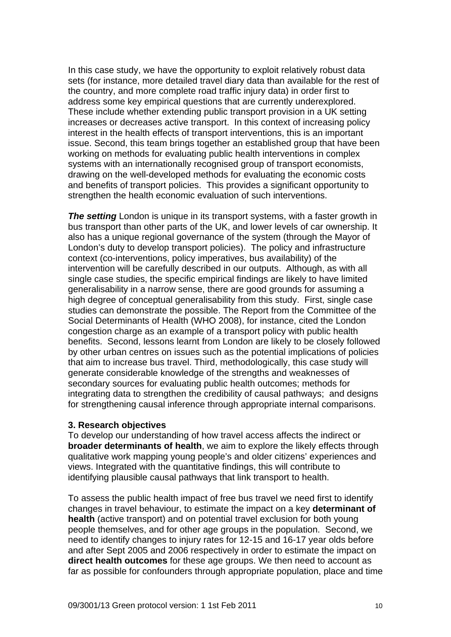In this case study, we have the opportunity to exploit relatively robust data sets (for instance, more detailed travel diary data than available for the rest of the country, and more complete road traffic injury data) in order first to address some key empirical questions that are currently underexplored. These include whether extending public transport provision in a UK setting increases or decreases active transport. In this context of increasing policy interest in the health effects of transport interventions, this is an important issue. Second, this team brings together an established group that have been working on methods for evaluating public health interventions in complex systems with an internationally recognised group of transport economists, drawing on the well-developed methods for evaluating the economic costs and benefits of transport policies. This provides a significant opportunity to strengthen the health economic evaluation of such interventions.

**The setting** London is unique in its transport systems, with a faster growth in bus transport than other parts of the UK, and lower levels of car ownership. It also has a unique regional governance of the system (through the Mayor of London's duty to develop transport policies). The policy and infrastructure context (co-interventions, policy imperatives, bus availability) of the intervention will be carefully described in our outputs. Although, as with all single case studies, the specific empirical findings are likely to have limited generalisability in a narrow sense, there are good grounds for assuming a high degree of conceptual generalisability from this study. First, single case studies can demonstrate the possible. The Report from the Committee of the Social Determinants of Health (WHO 2008), for instance, cited the London congestion charge as an example of a transport policy with public health benefits. Second, lessons learnt from London are likely to be closely followed by other urban centres on issues such as the potential implications of policies that aim to increase bus travel. Third, methodologically, this case study will generate considerable knowledge of the strengths and weaknesses of secondary sources for evaluating public health outcomes; methods for integrating data to strengthen the credibility of causal pathways; and designs for strengthening causal inference through appropriate internal comparisons.

#### **3. Research objectives**

To develop our understanding of how travel access affects the indirect or **broader determinants of health**, we aim to explore the likely effects through qualitative work mapping young people's and older citizens' experiences and views. Integrated with the quantitative findings, this will contribute to identifying plausible causal pathways that link transport to health.

To assess the public health impact of free bus travel we need first to identify changes in travel behaviour, to estimate the impact on a key **determinant of health** (active transport) and on potential travel exclusion for both young people themselves, and for other age groups in the population. Second, we need to identify changes to injury rates for 12-15 and 16-17 year olds before and after Sept 2005 and 2006 respectively in order to estimate the impact on **direct health outcomes** for these age groups. We then need to account as far as possible for confounders through appropriate population, place and time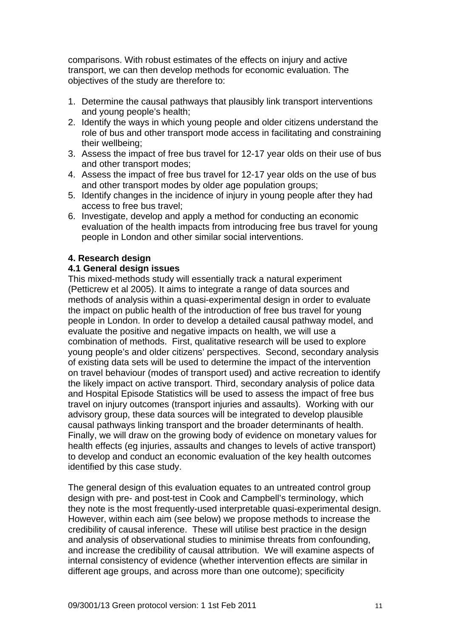comparisons. With robust estimates of the effects on injury and active transport, we can then develop methods for economic evaluation. The objectives of the study are therefore to:

- 1. Determine the causal pathways that plausibly link transport interventions and young people's health;
- 2. Identify the ways in which young people and older citizens understand the role of bus and other transport mode access in facilitating and constraining their wellbeing;
- 3. Assess the impact of free bus travel for 12-17 year olds on their use of bus and other transport modes;
- 4. Assess the impact of free bus travel for 12-17 year olds on the use of bus and other transport modes by older age population groups;
- 5. Identify changes in the incidence of injury in young people after they had access to free bus travel;
- 6. Investigate, develop and apply a method for conducting an economic evaluation of the health impacts from introducing free bus travel for young people in London and other similar social interventions.

# **4. Research design**

# **4.1 General design issues**

This mixed-methods study will essentially track a natural experiment (Petticrew et al 2005). It aims to integrate a range of data sources and methods of analysis within a quasi-experimental design in order to evaluate the impact on public health of the introduction of free bus travel for young people in London. In order to develop a detailed causal pathway model, and evaluate the positive and negative impacts on health, we will use a combination of methods. First, qualitative research will be used to explore young people's and older citizens' perspectives. Second, secondary analysis of existing data sets will be used to determine the impact of the intervention on travel behaviour (modes of transport used) and active recreation to identify the likely impact on active transport. Third, secondary analysis of police data and Hospital Episode Statistics will be used to assess the impact of free bus travel on injury outcomes (transport injuries and assaults). Working with our advisory group, these data sources will be integrated to develop plausible causal pathways linking transport and the broader determinants of health. Finally, we will draw on the growing body of evidence on monetary values for health effects (eg injuries, assaults and changes to levels of active transport) to develop and conduct an economic evaluation of the key health outcomes identified by this case study.

The general design of this evaluation equates to an untreated control group design with pre- and post-test in Cook and Campbell's terminology, which they note is the most frequently-used interpretable quasi-experimental design. However, within each aim (see below) we propose methods to increase the credibility of causal inference. These will utilise best practice in the design and analysis of observational studies to minimise threats from confounding, and increase the credibility of causal attribution. We will examine aspects of internal consistency of evidence (whether intervention effects are similar in different age groups, and across more than one outcome); specificity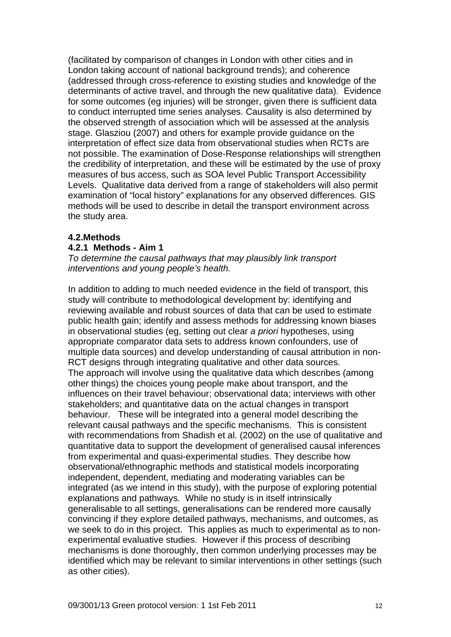(facilitated by comparison of changes in London with other cities and in London taking account of national background trends); and coherence (addressed through cross-reference to existing studies and knowledge of the determinants of active travel, and through the new qualitative data). Evidence for some outcomes (eg injuries) will be stronger, given there is sufficient data to conduct interrupted time series analyses. Causality is also determined by the observed strength of association which will be assessed at the analysis stage. Glasziou (2007) and others for example provide guidance on the interpretation of effect size data from observational studies when RCTs are not possible. The examination of Dose-Response relationships will strengthen the credibility of interpretation, and these will be estimated by the use of proxy measures of bus access, such as SOA level Public Transport Accessibility Levels. Qualitative data derived from a range of stakeholders will also permit examination of "local history" explanations for any observed differences. GIS methods will be used to describe in detail the transport environment across the study area.

#### **4.2.Methods**

#### **4.2.1 Methods - Aim 1**

*To determine the causal pathways that may plausibly link transport interventions and young people's health.* 

In addition to adding to much needed evidence in the field of transport, this study will contribute to methodological development by: identifying and reviewing available and robust sources of data that can be used to estimate public health gain; identify and assess methods for addressing known biases in observational studies (eg, setting out clear *a priori* hypotheses, using appropriate comparator data sets to address known confounders, use of multiple data sources) and develop understanding of causal attribution in non-RCT designs through integrating qualitative and other data sources. The approach will involve using the qualitative data which describes (among other things) the choices young people make about transport, and the influences on their travel behaviour; observational data; interviews with other stakeholders; and quantitative data on the actual changes in transport behaviour. These will be integrated into a general model describing the relevant causal pathways and the specific mechanisms. This is consistent with recommendations from Shadish et al. (2002) on the use of qualitative and quantitative data to support the development of generalised causal inferences from experimental and quasi-experimental studies. They describe how observational/ethnographic methods and statistical models incorporating independent, dependent, mediating and moderating variables can be integrated (as we intend in this study), with the purpose of exploring potential explanations and pathways. While no study is in itself intrinsically generalisable to all settings, generalisations can be rendered more causally convincing if they explore detailed pathways, mechanisms, and outcomes, as we seek to do in this project. This applies as much to experimental as to nonexperimental evaluative studies. However if this process of describing mechanisms is done thoroughly, then common underlying processes may be identified which may be relevant to similar interventions in other settings (such as other cities).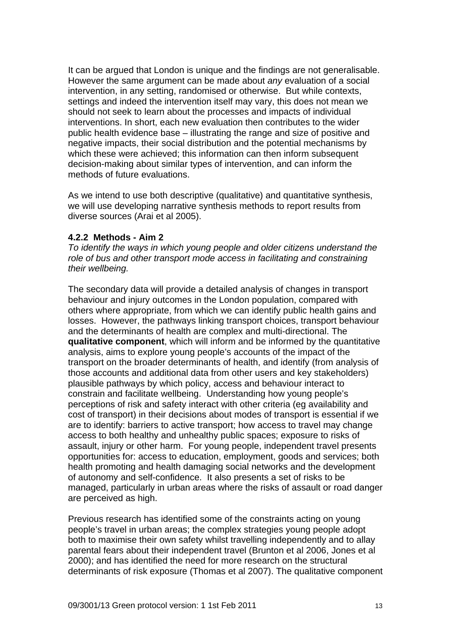It can be argued that London is unique and the findings are not generalisable. However the same argument can be made about *any* evaluation of a social intervention, in any setting, randomised or otherwise. But while contexts, settings and indeed the intervention itself may vary, this does not mean we should not seek to learn about the processes and impacts of individual interventions. In short, each new evaluation then contributes to the wider public health evidence base – illustrating the range and size of positive and negative impacts, their social distribution and the potential mechanisms by which these were achieved: this information can then inform subsequent decision-making about similar types of intervention, and can inform the methods of future evaluations.

As we intend to use both descriptive (qualitative) and quantitative synthesis, we will use developing narrative synthesis methods to report results from diverse sources (Arai et al 2005).

## **4.2.2 Methods - Aim 2**

*To identify the ways in which young people and older citizens understand the role of bus and other transport mode access in facilitating and constraining their wellbeing.* 

The secondary data will provide a detailed analysis of changes in transport behaviour and injury outcomes in the London population, compared with others where appropriate, from which we can identify public health gains and losses. However, the pathways linking transport choices, transport behaviour and the determinants of health are complex and multi-directional. The **qualitative component**, which will inform and be informed by the quantitative analysis, aims to explore young people's accounts of the impact of the transport on the broader determinants of health, and identify (from analysis of those accounts and additional data from other users and key stakeholders) plausible pathways by which policy, access and behaviour interact to constrain and facilitate wellbeing. Understanding how young people's perceptions of risk and safety interact with other criteria (eg availability and cost of transport) in their decisions about modes of transport is essential if we are to identify: barriers to active transport; how access to travel may change access to both healthy and unhealthy public spaces; exposure to risks of assault, injury or other harm. For young people, independent travel presents opportunities for: access to education, employment, goods and services; both health promoting and health damaging social networks and the development of autonomy and self-confidence. It also presents a set of risks to be managed, particularly in urban areas where the risks of assault or road danger are perceived as high.

Previous research has identified some of the constraints acting on young people's travel in urban areas; the complex strategies young people adopt both to maximise their own safety whilst travelling independently and to allay parental fears about their independent travel (Brunton et al 2006, Jones et al 2000); and has identified the need for more research on the structural determinants of risk exposure (Thomas et al 2007). The qualitative component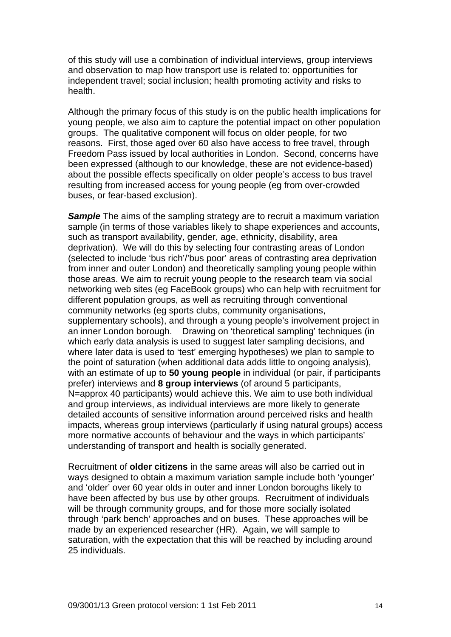of this study will use a combination of individual interviews, group interviews and observation to map how transport use is related to: opportunities for independent travel; social inclusion; health promoting activity and risks to health.

Although the primary focus of this study is on the public health implications for young people, we also aim to capture the potential impact on other population groups. The qualitative component will focus on older people, for two reasons. First, those aged over 60 also have access to free travel, through Freedom Pass issued by local authorities in London. Second, concerns have been expressed (although to our knowledge, these are not evidence-based) about the possible effects specifically on older people's access to bus travel resulting from increased access for young people (eg from over-crowded buses, or fear-based exclusion).

**Sample** The aims of the sampling strategy are to recruit a maximum variation sample (in terms of those variables likely to shape experiences and accounts, such as transport availability, gender, age, ethnicity, disability, area deprivation). We will do this by selecting four contrasting areas of London (selected to include 'bus rich'/'bus poor' areas of contrasting area deprivation from inner and outer London) and theoretically sampling young people within those areas. We aim to recruit young people to the research team via social networking web sites (eg FaceBook groups) who can help with recruitment for different population groups, as well as recruiting through conventional community networks (eg sports clubs, community organisations, supplementary schools), and through a young people's involvement project in an inner London borough. Drawing on 'theoretical sampling' techniques (in which early data analysis is used to suggest later sampling decisions, and where later data is used to 'test' emerging hypotheses) we plan to sample to the point of saturation (when additional data adds little to ongoing analysis), with an estimate of up to **50 young people** in individual (or pair, if participants prefer) interviews and **8 group interviews** (of around 5 participants, N=approx 40 participants) would achieve this. We aim to use both individual and group interviews, as individual interviews are more likely to generate detailed accounts of sensitive information around perceived risks and health impacts, whereas group interviews (particularly if using natural groups) access more normative accounts of behaviour and the ways in which participants' understanding of transport and health is socially generated.

Recruitment of **older citizens** in the same areas will also be carried out in ways designed to obtain a maximum variation sample include both 'younger' and 'older' over 60 year olds in outer and inner London boroughs likely to have been affected by bus use by other groups. Recruitment of individuals will be through community groups, and for those more socially isolated through 'park bench' approaches and on buses. These approaches will be made by an experienced researcher (HR). Again, we will sample to saturation, with the expectation that this will be reached by including around 25 individuals.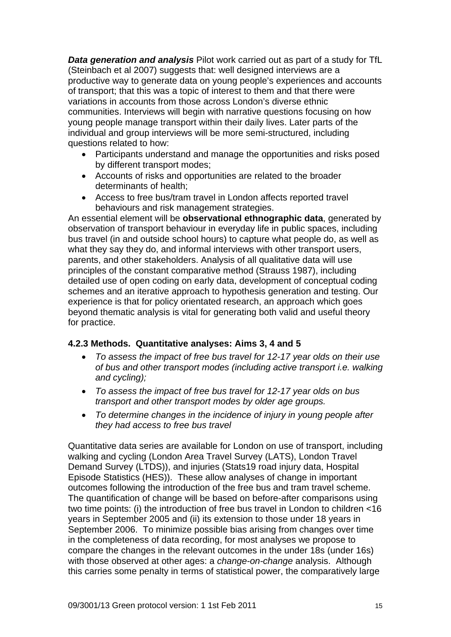*Data generation and analysis* Pilot work carried out as part of a study for TfL (Steinbach et al 2007) suggests that: well designed interviews are a productive way to generate data on young people's experiences and accounts of transport; that this was a topic of interest to them and that there were variations in accounts from those across London's diverse ethnic communities. Interviews will begin with narrative questions focusing on how young people manage transport within their daily lives. Later parts of the individual and group interviews will be more semi-structured, including questions related to how:

- Participants understand and manage the opportunities and risks posed by different transport modes;
- Accounts of risks and opportunities are related to the broader determinants of health;
- Access to free bus/tram travel in London affects reported travel behaviours and risk management strategies.

An essential element will be **observational ethnographic data**, generated by observation of transport behaviour in everyday life in public spaces, including bus travel (in and outside school hours) to capture what people do, as well as what they say they do, and informal interviews with other transport users, parents, and other stakeholders. Analysis of all qualitative data will use principles of the constant comparative method (Strauss 1987), including detailed use of open coding on early data, development of conceptual coding schemes and an iterative approach to hypothesis generation and testing. Our experience is that for policy orientated research, an approach which goes beyond thematic analysis is vital for generating both valid and useful theory for practice.

#### **4.2.3 Methods. Quantitative analyses: Aims 3, 4 and 5**

- *To assess the impact of free bus travel for 12-17 year olds on their use of bus and other transport modes (including active transport i.e. walking and cycling);*
- *To assess the impact of free bus travel for 12-17 year olds on bus transport and other transport modes by older age groups.*
- *To determine changes in the incidence of injury in young people after they had access to free bus travel*

Quantitative data series are available for London on use of transport, including walking and cycling (London Area Travel Survey (LATS), London Travel Demand Survey (LTDS)), and injuries (Stats19 road injury data, Hospital Episode Statistics (HES)). These allow analyses of change in important outcomes following the introduction of the free bus and tram travel scheme. The quantification of change will be based on before-after comparisons using two time points: (i) the introduction of free bus travel in London to children <16 years in September 2005 and (ii) its extension to those under 18 years in September 2006. To minimize possible bias arising from changes over time in the completeness of data recording, for most analyses we propose to compare the changes in the relevant outcomes in the under 18s (under 16s) with those observed at other ages: a *change-on-change* analysis. Although this carries some penalty in terms of statistical power, the comparatively large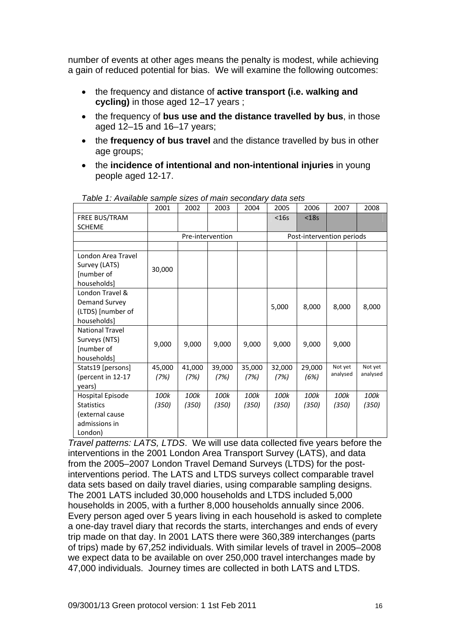number of events at other ages means the penalty is modest, while achieving a gain of reduced potential for bias. We will examine the following outcomes:

- the frequency and distance of **active transport (i.e. walking and cycling)** in those aged 12–17 years ;
- the frequency of **bus use and the distance travelled by bus**, in those aged 12–15 and 16–17 years;
- the **frequency of bus travel** and the distance travelled by bus in other age groups;
- the **incidence of intentional and non-intentional injuries** in young people aged 12-17.

|                        | 2001   | 2002   | 2003             | 2004   | 2005                      | 2006    | 2007     | 2008     |  |  |  |
|------------------------|--------|--------|------------------|--------|---------------------------|---------|----------|----------|--|--|--|
| FREE BUS/TRAM          |        |        |                  |        | $<$ 16s                   | $<$ 18s |          |          |  |  |  |
| <b>SCHEME</b>          |        |        |                  |        |                           |         |          |          |  |  |  |
|                        |        |        | Pre-intervention |        | Post-intervention periods |         |          |          |  |  |  |
|                        |        |        |                  |        |                           |         |          |          |  |  |  |
| London Area Travel     |        |        |                  |        |                           |         |          |          |  |  |  |
| Survey (LATS)          |        |        |                  |        |                           |         |          |          |  |  |  |
| [number of             | 30,000 |        |                  |        |                           |         |          |          |  |  |  |
| households]            |        |        |                  |        |                           |         |          |          |  |  |  |
| London Travel &        |        |        |                  |        |                           |         |          |          |  |  |  |
| <b>Demand Survey</b>   |        |        |                  |        |                           |         |          |          |  |  |  |
| (LTDS) [number of      |        |        |                  |        | 5,000                     | 8,000   | 8,000    | 8,000    |  |  |  |
| households]            |        |        |                  |        |                           |         |          |          |  |  |  |
| <b>National Travel</b> |        |        |                  |        |                           |         |          |          |  |  |  |
| Surveys (NTS)          | 9,000  | 9,000  |                  | 9,000  |                           | 9,000   | 9,000    |          |  |  |  |
| [number of             |        |        | 9,000            |        | 9,000                     |         |          |          |  |  |  |
| households]            |        |        |                  |        |                           |         |          |          |  |  |  |
| Stats19 [persons]      | 45,000 | 41,000 | 39,000           | 35,000 | 32,000                    | 29,000  | Not yet  | Not yet  |  |  |  |
| (percent in 12-17      | (7%)   | (7%)   | (7%)             | (7%)   | (7%)                      | (6%)    | analysed | analysed |  |  |  |
| years)                 |        |        |                  |        |                           |         |          |          |  |  |  |
| Hospital Episode       | 100k   | 100k   | 100k             | 100k   | 100k                      | 100k    | 100k     | 100k     |  |  |  |
| <b>Statistics</b>      | (350)  | (350)  | (350)            | (350)  | (350)                     | (350)   | (350)    | (350)    |  |  |  |
| (external cause        |        |        |                  |        |                           |         |          |          |  |  |  |
| admissions in          |        |        |                  |        |                           |         |          |          |  |  |  |
| London)                |        |        |                  |        |                           |         |          |          |  |  |  |

*Table 1: Available sample sizes of main secondary data sets*

*Travel patterns: LATS, LTDS*. We will use data collected five years before the interventions in the 2001 London Area Transport Survey (LATS), and data from the 2005–2007 London Travel Demand Surveys (LTDS) for the postinterventions period. The LATS and LTDS surveys collect comparable travel data sets based on daily travel diaries, using comparable sampling designs. The 2001 LATS included 30,000 households and LTDS included 5,000 households in 2005, with a further 8,000 households annually since 2006. Every person aged over 5 years living in each household is asked to complete a one-day travel diary that records the starts, interchanges and ends of every trip made on that day. In 2001 LATS there were 360,389 interchanges (parts of trips) made by 67,252 individuals. With similar levels of travel in 2005–2008 we expect data to be available on over 250,000 travel interchanges made by 47,000 individuals. Journey times are collected in both LATS and LTDS.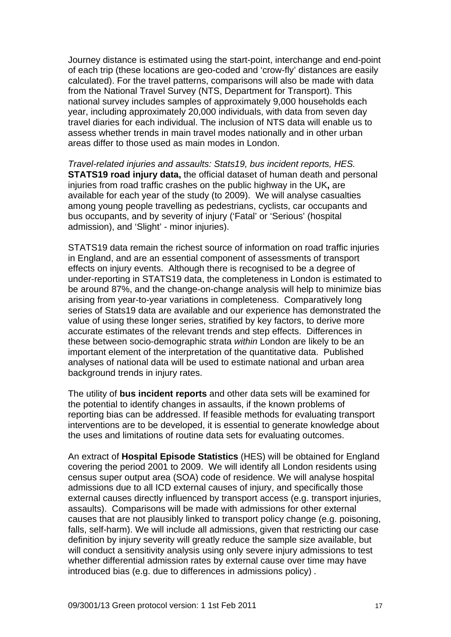Journey distance is estimated using the start-point, interchange and end-point of each trip (these locations are geo-coded and 'crow-fly' distances are easily calculated). For the travel patterns, comparisons will also be made with data from the National Travel Survey (NTS, Department for Transport). This national survey includes samples of approximately 9,000 households each year, including approximately 20,000 individuals, with data from seven day travel diaries for each individual. The inclusion of NTS data will enable us to assess whether trends in main travel modes nationally and in other urban areas differ to those used as main modes in London.

*Travel-related injuries and assaults: Stats19, bus incident reports, HES.* **STATS19 road injury data,** the official dataset of human death and personal injuries from road traffic crashes on the public highway in the UK**,** are available for each year of the study (to 2009). We will analyse casualties among young people travelling as pedestrians, cyclists, car occupants and bus occupants, and by severity of injury ('Fatal' or 'Serious' (hospital admission), and 'Slight' - minor injuries).

STATS19 data remain the richest source of information on road traffic injuries in England, and are an essential component of assessments of transport effects on injury events. Although there is recognised to be a degree of under-reporting in STATS19 data, the completeness in London is estimated to be around 87%, and the change-on-change analysis will help to minimize bias arising from year-to-year variations in completeness. Comparatively long series of Stats19 data are available and our experience has demonstrated the value of using these longer series, stratified by key factors, to derive more accurate estimates of the relevant trends and step effects. Differences in these between socio-demographic strata *within* London are likely to be an important element of the interpretation of the quantitative data. Published analyses of national data will be used to estimate national and urban area background trends in injury rates.

The utility of **bus incident reports** and other data sets will be examined for the potential to identify changes in assaults, if the known problems of reporting bias can be addressed. If feasible methods for evaluating transport interventions are to be developed, it is essential to generate knowledge about the uses and limitations of routine data sets for evaluating outcomes.

An extract of **Hospital Episode Statistics** (HES) will be obtained for England covering the period 2001 to 2009. We will identify all London residents using census super output area (SOA) code of residence. We will analyse hospital admissions due to all ICD external causes of injury, and specifically those external causes directly influenced by transport access (e.g. transport injuries, assaults). Comparisons will be made with admissions for other external causes that are not plausibly linked to transport policy change (e.g. poisoning, falls, self-harm). We will include all admissions, given that restricting our case definition by injury severity will greatly reduce the sample size available, but will conduct a sensitivity analysis using only severe injury admissions to test whether differential admission rates by external cause over time may have introduced bias (e.g. due to differences in admissions policy) .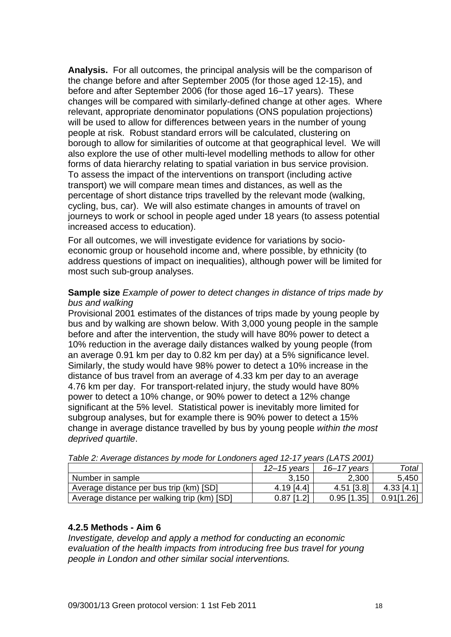**Analysis.** For all outcomes, the principal analysis will be the comparison of the change before and after September 2005 (for those aged 12-15), and before and after September 2006 (for those aged 16–17 years). These changes will be compared with similarly-defined change at other ages. Where relevant, appropriate denominator populations (ONS population projections) will be used to allow for differences between years in the number of young people at risk. Robust standard errors will be calculated, clustering on borough to allow for similarities of outcome at that geographical level. We will also explore the use of other multi-level modelling methods to allow for other forms of data hierarchy relating to spatial variation in bus service provision. To assess the impact of the interventions on transport (including active transport) we will compare mean times and distances, as well as the percentage of short distance trips travelled by the relevant mode (walking, cycling, bus, car). We will also estimate changes in amounts of travel on journeys to work or school in people aged under 18 years (to assess potential increased access to education).

For all outcomes, we will investigate evidence for variations by socioeconomic group or household income and, where possible, by ethnicity (to address questions of impact on inequalities), although power will be limited for most such sub-group analyses.

## **Sample size** *Example of power to detect changes in distance of trips made by bus and walking*

Provisional 2001 estimates of the distances of trips made by young people by bus and by walking are shown below. With 3,000 young people in the sample before and after the intervention, the study will have 80% power to detect a 10% reduction in the average daily distances walked by young people (from an average 0.91 km per day to 0.82 km per day) at a 5% significance level. Similarly, the study would have 98% power to detect a 10% increase in the distance of bus travel from an average of 4.33 km per day to an average 4.76 km per day. For transport-related injury, the study would have 80% power to detect a 10% change, or 90% power to detect a 12% change significant at the 5% level. Statistical power is inevitably more limited for subgroup analyses, but for example there is 90% power to detect a 15% change in average distance travelled by bus by young people *within the most deprived quartile*.

| $1$ abio 2. Avorago distancos by modo for Eunidonols agod. I2-Tr. yodis (EATO 2001) |                 |               |            |  |  |  |  |  |  |  |  |
|-------------------------------------------------------------------------------------|-----------------|---------------|------------|--|--|--|--|--|--|--|--|
|                                                                                     | $12 - 15$ years | 16–17 vears   | Total      |  |  |  |  |  |  |  |  |
| Number in sample                                                                    | 3,150           | 2,300         | 5,450      |  |  |  |  |  |  |  |  |
| Average distance per bus trip (km) [SD]                                             | $4.19$ [4.4]    | 4.51 [3.8]    | 4.33 [4.1] |  |  |  |  |  |  |  |  |
| Average distance per walking trip (km) [SD]                                         | $0.87$ [1.2]    | $0.95$ [1.35] | 0.91[1.26] |  |  |  |  |  |  |  |  |

*Table 2: Average distances by mode for Londoners aged 12-17 years (LATS 2001)*

# **4.2.5 Methods - Aim 6**

*Investigate, develop and apply a method for conducting an economic evaluation of the health impacts from introducing free bus travel for young people in London and other similar social interventions.*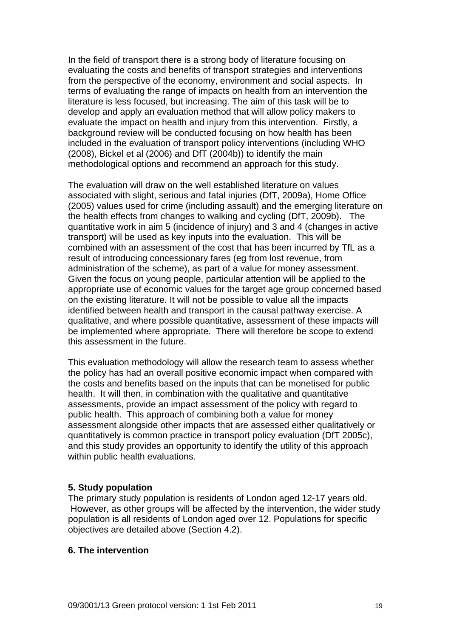In the field of transport there is a strong body of literature focusing on evaluating the costs and benefits of transport strategies and interventions from the perspective of the economy, environment and social aspects. In terms of evaluating the range of impacts on health from an intervention the literature is less focused, but increasing. The aim of this task will be to develop and apply an evaluation method that will allow policy makers to evaluate the impact on health and injury from this intervention. Firstly, a background review will be conducted focusing on how health has been included in the evaluation of transport policy interventions (including WHO (2008), Bickel et al (2006) and DfT (2004b)) to identify the main methodological options and recommend an approach for this study.

The evaluation will draw on the well established literature on values associated with slight, serious and fatal injuries (DfT, 2009a), Home Office (2005) values used for crime (including assault) and the emerging literature on the health effects from changes to walking and cycling (DfT, 2009b). The quantitative work in aim 5 (incidence of injury) and 3 and 4 (changes in active transport) will be used as key inputs into the evaluation. This will be combined with an assessment of the cost that has been incurred by TfL as a result of introducing concessionary fares (eg from lost revenue, from administration of the scheme), as part of a value for money assessment. Given the focus on young people, particular attention will be applied to the appropriate use of economic values for the target age group concerned based on the existing literature. It will not be possible to value all the impacts identified between health and transport in the causal pathway exercise. A qualitative, and where possible quantitative, assessment of these impacts will be implemented where appropriate. There will therefore be scope to extend this assessment in the future.

This evaluation methodology will allow the research team to assess whether the policy has had an overall positive economic impact when compared with the costs and benefits based on the inputs that can be monetised for public health. It will then, in combination with the qualitative and quantitative assessments, provide an impact assessment of the policy with regard to public health. This approach of combining both a value for money assessment alongside other impacts that are assessed either qualitatively or quantitatively is common practice in transport policy evaluation (DfT 2005c), and this study provides an opportunity to identify the utility of this approach within public health evaluations.

#### **5. Study population**

The primary study population is residents of London aged 12-17 years old. However, as other groups will be affected by the intervention, the wider study population is all residents of London aged over 12. Populations for specific objectives are detailed above (Section 4.2).

### **6. The intervention**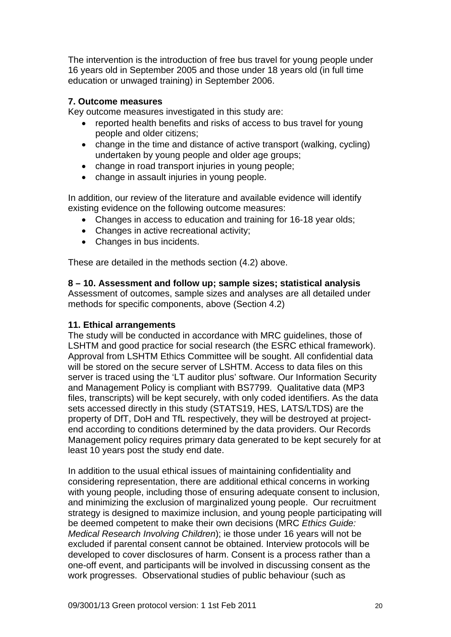The intervention is the introduction of free bus travel for young people under 16 years old in September 2005 and those under 18 years old (in full time education or unwaged training) in September 2006.

# **7. Outcome measures**

Key outcome measures investigated in this study are:

- reported health benefits and risks of access to bus travel for young people and older citizens;
- change in the time and distance of active transport (walking, cycling) undertaken by young people and older age groups;
- change in road transport injuries in young people;
- change in assault injuries in young people.

In addition, our review of the literature and available evidence will identify existing evidence on the following outcome measures:

- Changes in access to education and training for 16-18 year olds:
- Changes in active recreational activity;
- Changes in bus incidents.

These are detailed in the methods section (4.2) above.

**8 – 10. Assessment and follow up; sample sizes; statistical analysis** 

Assessment of outcomes, sample sizes and analyses are all detailed under methods for specific components, above (Section 4.2)

#### **11. Ethical arrangements**

The study will be conducted in accordance with MRC guidelines, those of LSHTM and good practice for social research (the ESRC ethical framework). Approval from LSHTM Ethics Committee will be sought. All confidential data will be stored on the secure server of LSHTM. Access to data files on this server is traced using the 'LT auditor plus' software. Our Information Security and Management Policy is compliant with BS7799. Qualitative data (MP3 files, transcripts) will be kept securely, with only coded identifiers. As the data sets accessed directly in this study (STATS19, HES, LATS/LTDS) are the property of DfT, DoH and TfL respectively, they will be destroyed at projectend according to conditions determined by the data providers. Our Records Management policy requires primary data generated to be kept securely for at least 10 years post the study end date.

In addition to the usual ethical issues of maintaining confidentiality and considering representation, there are additional ethical concerns in working with young people, including those of ensuring adequate consent to inclusion, and minimizing the exclusion of marginalized young people. Our recruitment strategy is designed to maximize inclusion, and young people participating will be deemed competent to make their own decisions (MRC *Ethics Guide: Medical Research Involving Children*); ie those under 16 years will not be excluded if parental consent cannot be obtained. Interview protocols will be developed to cover disclosures of harm. Consent is a process rather than a one-off event, and participants will be involved in discussing consent as the work progresses. Observational studies of public behaviour (such as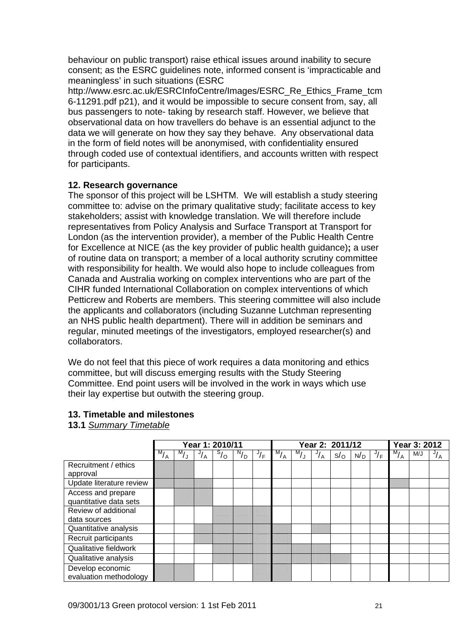behaviour on public transport) raise ethical issues around inability to secure consent; as the ESRC guidelines note, informed consent is 'impracticable and meaningless' in such situations (ESRC

http://www.esrc.ac.uk/ESRCInfoCentre/Images/ESRC\_Re\_Ethics\_Frame\_tcm 6-11291.pdf p21), and it would be impossible to secure consent from, say, all bus passengers to note- taking by research staff. However, we believe that observational data on how travellers do behave is an essential adjunct to the data we will generate on how they say they behave. Any observational data in the form of field notes will be anonymised, with confidentiality ensured through coded use of contextual identifiers, and accounts written with respect for participants.

#### **12. Research governance**

The sponsor of this project will be LSHTM. We will establish a study steering committee to: advise on the primary qualitative study; facilitate access to key stakeholders; assist with knowledge translation. We will therefore include representatives from Policy Analysis and Surface Transport at Transport for London (as the intervention provider), a member of the Public Health Centre for Excellence at NICE (as the key provider of public health guidance)**;** a user of routine data on transport; a member of a local authority scrutiny committee with responsibility for health. We would also hope to include colleagues from Canada and Australia working on complex interventions who are part of the CIHR funded International Collaboration on complex interventions of which Petticrew and Roberts are members. This steering committee will also include the applicants and collaborators (including Suzanne Lutchman representing an NHS public health department). There will in addition be seminars and regular, minuted meetings of the investigators, employed researcher(s) and collaborators.

We do not feel that this piece of work requires a data monitoring and ethics committee, but will discuss emerging results with the Study Steering Committee. End point users will be involved in the work in ways which use their lay expertise but outwith the steering group.

#### **13. Timetable and milestones**

**13.1** *Summary Timetable*

|                                              | Year 1: 2010/11 |         |               |         |         |               | Year 2: 2011/12 |                   |               |              |     |    |                | Year 3: 2012 |               |  |
|----------------------------------------------|-----------------|---------|---------------|---------|---------|---------------|-----------------|-------------------|---------------|--------------|-----|----|----------------|--------------|---------------|--|
|                                              | M<br>/ A        | M)<br>J | $\frac{J}{A}$ | $S_{0}$ | $N_{D}$ | $\frac{J}{F}$ | $\sqrt{M}_{A}$  | M,<br>$L_{\rm J}$ | $\frac{J}{A}$ | $s/_{\rm O}$ | N/D | √⊦ | $M_{I}$<br>7 д | M/J          | $\frac{J}{A}$ |  |
| Recruitment / ethics<br>approval             |                 |         |               |         |         |               |                 |                   |               |              |     |    |                |              |               |  |
| Update literature review                     |                 |         |               |         |         |               |                 |                   |               |              |     |    |                |              |               |  |
| Access and prepare<br>quantitative data sets |                 |         |               |         |         |               |                 |                   |               |              |     |    |                |              |               |  |
| Review of additional<br>data sources         |                 |         |               |         |         |               |                 |                   |               |              |     |    |                |              |               |  |
| Quantitative analysis                        |                 |         |               |         |         |               |                 |                   |               |              |     |    |                |              |               |  |
| Recruit participants                         |                 |         |               |         |         |               |                 |                   |               |              |     |    |                |              |               |  |
| Qualitative fieldwork                        |                 |         |               |         |         |               |                 |                   |               |              |     |    |                |              |               |  |
| Qualitative analysis                         |                 |         |               |         |         |               |                 |                   |               |              |     |    |                |              |               |  |
| Develop economic<br>evaluation methodology   |                 |         |               |         |         |               |                 |                   |               |              |     |    |                |              |               |  |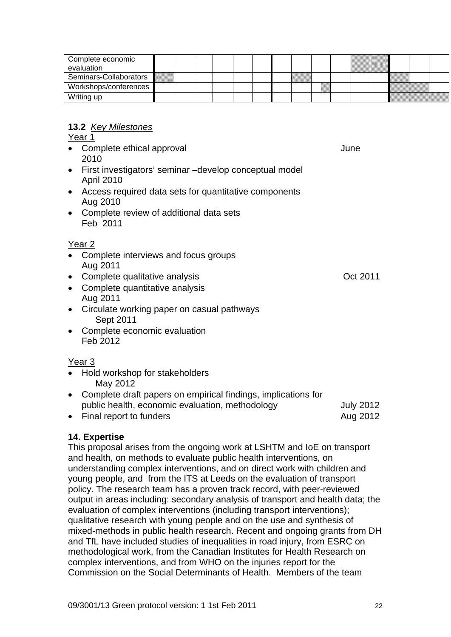| Complete economic<br>evaluation |  |  |  |  |  |  |  |  |
|---------------------------------|--|--|--|--|--|--|--|--|
| Seminars-Collaborators          |  |  |  |  |  |  |  |  |
| Workshops/conferences           |  |  |  |  |  |  |  |  |
| Writing up                      |  |  |  |  |  |  |  |  |

# **13.2** *Key Milestones*

Year 1

- Complete ethical approval value of the complete ethical approval 2010
- First investigators' seminar –develop conceptual model April 2010
- Access required data sets for quantitative components Aug 2010
- Complete review of additional data sets Feb 2011

# Year 2

- Complete interviews and focus groups Aug 2011
- Complete qualitative analysis **Oct 2011**
- Complete quantitative analysis Aug 2011
- Circulate working paper on casual pathways Sept 2011
- Complete economic evaluation Feb 2012

# Year 3

- Hold workshop for stakeholders May 2012
- Complete draft papers on empirical findings, implications for public health, economic evaluation, methodology July 2012
- Final report to funders **Aug 2012**

# **14. Expertise**

This proposal arises from the ongoing work at LSHTM and IoE on transport and health, on methods to evaluate public health interventions, on understanding complex interventions, and on direct work with children and young people, and from the ITS at Leeds on the evaluation of transport policy. The research team has a proven track record, with peer-reviewed output in areas including: secondary analysis of transport and health data; the evaluation of complex interventions (including transport interventions); qualitative research with young people and on the use and synthesis of mixed-methods in public health research. Recent and ongoing grants from DH and TfL have included studies of inequalities in road injury, from ESRC on methodological work, from the Canadian Institutes for Health Research on complex interventions, and from WHO on the injuries report for the Commission on the Social Determinants of Health. Members of the team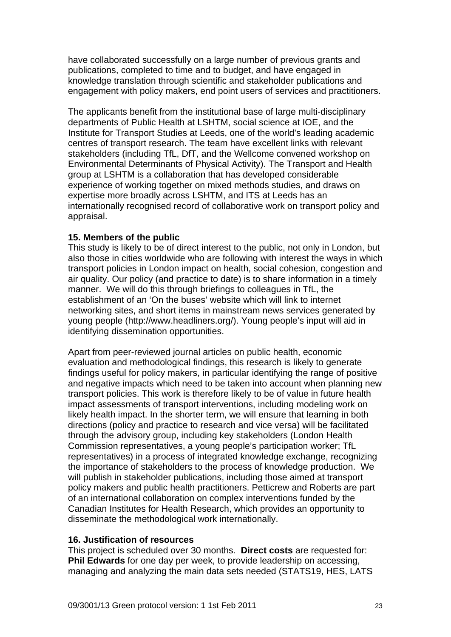have collaborated successfully on a large number of previous grants and publications, completed to time and to budget, and have engaged in knowledge translation through scientific and stakeholder publications and engagement with policy makers, end point users of services and practitioners.

The applicants benefit from the institutional base of large multi-disciplinary departments of Public Health at LSHTM, social science at IOE, and the Institute for Transport Studies at Leeds, one of the world's leading academic centres of transport research. The team have excellent links with relevant stakeholders (including TfL, DfT, and the Wellcome convened workshop on Environmental Determinants of Physical Activity). The Transport and Health group at LSHTM is a collaboration that has developed considerable experience of working together on mixed methods studies, and draws on expertise more broadly across LSHTM, and ITS at Leeds has an internationally recognised record of collaborative work on transport policy and appraisal.

# **15. Members of the public**

This study is likely to be of direct interest to the public, not only in London, but also those in cities worldwide who are following with interest the ways in which transport policies in London impact on health, social cohesion, congestion and air quality. Our policy (and practice to date) is to share information in a timely manner. We will do this through briefings to colleagues in TfL, the establishment of an 'On the buses' website which will link to internet networking sites, and short items in mainstream news services generated by young people (http://www.headliners.org/). Young people's input will aid in identifying dissemination opportunities.

Apart from peer-reviewed journal articles on public health, economic evaluation and methodological findings, this research is likely to generate findings useful for policy makers, in particular identifying the range of positive and negative impacts which need to be taken into account when planning new transport policies. This work is therefore likely to be of value in future health impact assessments of transport interventions, including modeling work on likely health impact. In the shorter term, we will ensure that learning in both directions (policy and practice to research and vice versa) will be facilitated through the advisory group, including key stakeholders (London Health Commission representatives, a young people's participation worker; TfL representatives) in a process of integrated knowledge exchange, recognizing the importance of stakeholders to the process of knowledge production. We will publish in stakeholder publications, including those aimed at transport policy makers and public health practitioners. Petticrew and Roberts are part of an international collaboration on complex interventions funded by the Canadian Institutes for Health Research, which provides an opportunity to disseminate the methodological work internationally.

#### **16. Justification of resources**

This project is scheduled over 30 months. **Direct costs** are requested for: **Phil Edwards** for one day per week, to provide leadership on accessing, managing and analyzing the main data sets needed (STATS19, HES, LATS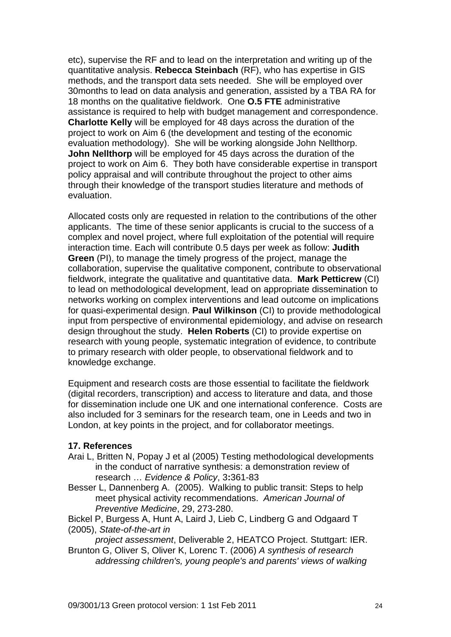etc), supervise the RF and to lead on the interpretation and writing up of the quantitative analysis. **Rebecca Steinbach** (RF), who has expertise in GIS methods, and the transport data sets needed. She will be employed over 30months to lead on data analysis and generation, assisted by a TBA RA for 18 months on the qualitative fieldwork. One **O.5 FTE** administrative assistance is required to help with budget management and correspondence. **Charlotte Kelly** will be employed for 48 days across the duration of the project to work on Aim 6 (the development and testing of the economic evaluation methodology). She will be working alongside John Nellthorp. **John Nellthorp** will be employed for 45 days across the duration of the project to work on Aim 6. They both have considerable expertise in transport policy appraisal and will contribute throughout the project to other aims through their knowledge of the transport studies literature and methods of evaluation.

Allocated costs only are requested in relation to the contributions of the other applicants. The time of these senior applicants is crucial to the success of a complex and novel project, where full exploitation of the potential will require interaction time. Each will contribute 0.5 days per week as follow: **Judith Green** (PI), to manage the timely progress of the project, manage the collaboration, supervise the qualitative component, contribute to observational fieldwork, integrate the qualitative and quantitative data. **Mark Petticrew** (CI) to lead on methodological development, lead on appropriate dissemination to networks working on complex interventions and lead outcome on implications for quasi-experimental design. **Paul Wilkinson** (CI) to provide methodological input from perspective of environmental epidemiology, and advise on research design throughout the study. **Helen Roberts** (CI) to provide expertise on research with young people, systematic integration of evidence, to contribute to primary research with older people, to observational fieldwork and to knowledge exchange.

Equipment and research costs are those essential to facilitate the fieldwork (digital recorders, transcription) and access to literature and data, and those for dissemination include one UK and one international conference. Costs are also included for 3 seminars for the research team, one in Leeds and two in London, at key points in the project, and for collaborator meetings.

# **17. References**

- Arai L, Britten N, Popay J et al (2005) Testing methodological developments in the conduct of narrative synthesis: a demonstration review of research … *Evidence & Policy*, 3**:**361-83
- Besser L, Dannenberg A. (2005). Walking to public transit: Steps to help meet physical activity recommendations. *American Journal of Preventive Medicine*, 29, 273-280.
- Bickel P, Burgess A, Hunt A, Laird J, Lieb C, Lindberg G and Odgaard T (2005), *State-of-the-art in*

 *project assessment*, Deliverable 2, HEATCO Project. Stuttgart: IER. Brunton G, Oliver S, Oliver K, Lorenc T. (2006) *A synthesis of research* 

*addressing children's, young people's and parents' views of walking*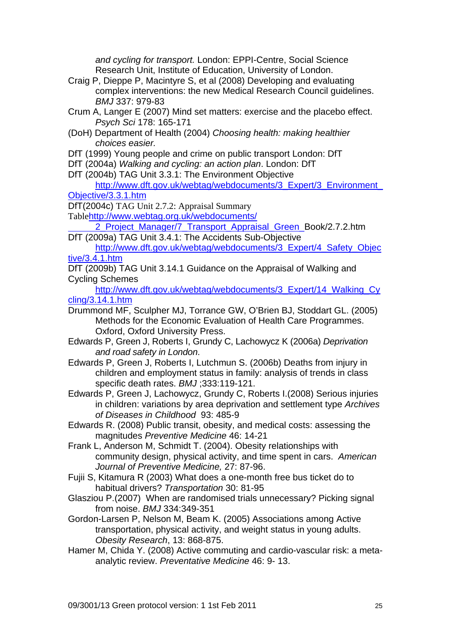*and cycling for transport.* London: EPPI-Centre, Social Science Research Unit, Institute of Education, University of London.

- Craig P, Dieppe P, Macintyre S, et al (2008) Developing and evaluating complex interventions: the new Medical Research Council guidelines. *BMJ* 337: 979-83
- Crum A, Langer E (2007) Mind set matters: exercise and the placebo effect. *Psych Sci* 178: 165-171
- (DoH) Department of Health (2004) *Choosing health: making healthier choices easier.*
- DfT (1999) Young people and crime on public transport London: DfT
- DfT (2004a) *Walking and cycling: an action plan*. London: DfT
- DfT (2004b) TAG Unit 3.3.1: The Environment Objective

# [http://www.dft.gov.uk/webtag/webdocuments/3\\_Expert/3\\_Environment\\_](http://www.dft.gov.uk/webtag/webdocuments/3_Expert/3_Environment_Objective/3.3.1.htm) [Objective/3.3.1.htm](http://www.dft.gov.uk/webtag/webdocuments/3_Expert/3_Environment_Objective/3.3.1.htm)

DfT(2004c) TAG Unit 2.7.2: Appraisal Summary

Table[http://www.webtag.org.uk/webdocuments/](http://www.webtag.org.uk/webdocuments/%20%20%20%202_Project_Manager/7_Transport_Appraisal_Green_) 

2 Project Manager/7 Transport Appraisal Green Book/2.7.2.htm DfT (2009a) TAG Unit 3.4.1: The Accidents Sub-Objective

- [http://www.dft.gov.uk/webtag/webdocuments/3\\_Expert/4\\_Safety\\_Objec](http://www.dft.gov.uk/webtag/webdocuments/3_Expert/4_Safety_Objective/3.4.1.htm) [tive/3.4.1.htm](http://www.dft.gov.uk/webtag/webdocuments/3_Expert/4_Safety_Objective/3.4.1.htm)
- DfT (2009b) TAG Unit 3.14.1 Guidance on the Appraisal of Walking and Cycling Schemes

[http://www.dft.gov.uk/webtag/webdocuments/3\\_Expert/14\\_Walking\\_Cy](http://www.dft.gov.uk/webtag/webdocuments/3_Expert/14_Walking_Cycling/3.14.1.htm) [cling/3.14.1.htm](http://www.dft.gov.uk/webtag/webdocuments/3_Expert/14_Walking_Cycling/3.14.1.htm)

- Drummond MF, Sculpher MJ, Torrance GW, O'Brien BJ, Stoddart GL. (2005) Methods for the Economic Evaluation of Health Care Programmes. Oxford, Oxford University Press.
- Edwards P, Green J, Roberts I, Grundy C, Lachowycz K (2006a) *Deprivation and road safety in London*.
- Edwards P, Green J, Roberts I, Lutchmun S. (2006b) Deaths from injury in children and employment status in family: analysis of trends in class specific death rates. *BMJ* ;333:119-121.

Edwards P, Green J, Lachowycz, Grundy C, Roberts I.(2008) Serious injuries in children: variations by area deprivation and settlement type *Archives of Diseases in Childhood* 93: 485-9

Edwards R. (2008) Public transit, obesity, and medical costs: assessing the magnitudes *Preventive Medicine* 46: 14-21

Frank L, Anderson M, Schmidt T. (2004). Obesity relationships with community design, physical activity, and time spent in cars. *American Journal of Preventive Medicine,* 27: 87-96.

- Fujii S, Kitamura R (2003) What does a one-month free bus ticket do to habitual drivers? *Transportation* 30: 81-95
- Glasziou P.(2007) When are randomised trials unnecessary? Picking signal from noise. *BMJ* 334:349-351
- Gordon-Larsen P, Nelson M, Beam K. (2005) Associations among Active transportation, physical activity, and weight status in young adults. *Obesity Research*, 13: 868-875.
- Hamer M, Chida Y. (2008) Active commuting and cardio-vascular risk: a metaanalytic review. *Preventative Medicine* 46: 9- 13.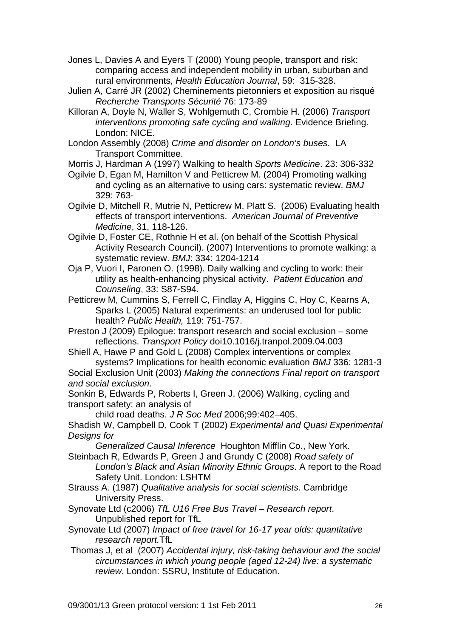- Jones L, Davies A and Eyers T (2000) Young people, transport and risk: comparing access and independent mobility in urban, suburban and rural environments, *Health Education Journal*, 59: 315-328.
- Julien A, Carré JR (2002) Cheminements pietonniers et exposition au risqué *Recherche Transports Sécurité* 76: 173-89
- Killoran A, Doyle N, Waller S, Wohlgemuth C, Crombie H. (2006) *Transport interventions promoting safe cycling and walking*. Evidence Briefing. London: NICE.
- London Assembly (2008) *Crime and disorder on London's buses*. LA Transport Committee.

Morris J, Hardman A (1997) Walking to health *Sports Medicine*. 23: 306-332

- Ogilvie D, Egan M, Hamilton V and Petticrew M. (2004) Promoting walking and cycling as an alternative to using cars: systematic review. *BMJ* 329: 763-
- Ogilvie D, Mitchell R, Mutrie N, Petticrew M, Platt S. (2006) Evaluating health effects of transport interventions. *American Journal of Preventive Medicine*, 31, 118-126.
- Ogilvie D, Foster CE, Rothnie H et al. (on behalf of the Scottish Physical Activity Research Council). (2007) Interventions to promote walking: a systematic review. *BMJ*: 334: 1204-1214
- Oja P, Vuori I, Paronen O. (1998). Daily walking and cycling to work: their utility as health-enhancing physical activity. *Patient Education and Counseling*, 33: S87-S94.
- Petticrew M, Cummins S, Ferrell C, Findlay A, Higgins C, Hoy C, Kearns A, Sparks L (2005) Natural experiments: an underused tool for public health? *Public Health,* 119: 751-757.
- Preston J (2009) Epilogue: transport research and social exclusion some reflections. *Transport Policy* doi10.1016/j.tranpol.2009.04.003
- Shiell A, Hawe P and Gold L (2008) Complex interventions or complex systems? Implications for health economic evaluation *BMJ* 336: 1281-3

Social Exclusion Unit (2003) *Making the connections Final report on transport and social exclusion*.

Sonkin B, Edwards P, Roberts I, Green J. (2006) Walking, cycling and transport safety: an analysis of

child road deaths. *J R Soc Med* 2006;99:402–405.

Shadish W, Campbell D, Cook T (2002) *Experimental and Quasi Experimental Designs for* 

 *Generalized Causal Inference* Houghton Mifflin Co., New York.

Steinbach R, Edwards P, Green J and Grundy C (2008) *Road safety of London's Black and Asian Minority Ethnic Groups*. A report to the Road Safety Unit. London: LSHTM

- Strauss A. (1987) *Qualitative analysis for social scientists*. Cambridge University Press.
- Synovate Ltd (c2006) *TfL U16 Free Bus Travel Research report*. Unpublished report for TfL
- Synovate Ltd (2007) *Impact of free travel for 16-17 year olds: quantitative research report.*TfL
- Thomas J, et al (2007) *Accidental injury, risk-taking behaviour and the social circumstances in which young people (aged 12-24) live: a systematic review*. London: SSRU, Institute of Education.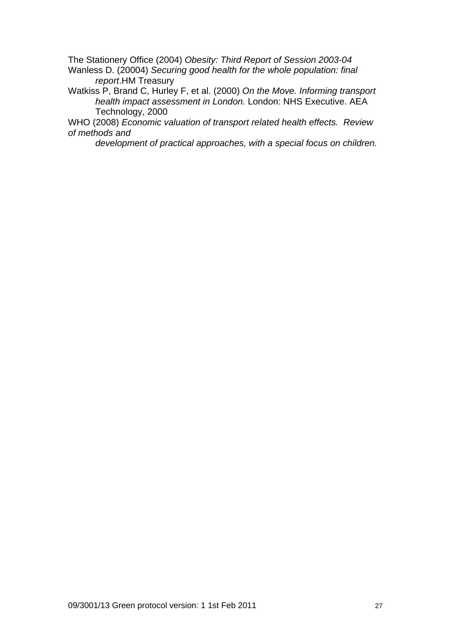The Stationery Office (2004) *Obesity: Third Report of Session 2003-04*  Wanless D. (20004) *Securing good health for the whole population: final report*.HM Treasury

Watkiss P, Brand C, Hurley F, et al. (2000) *On the Move. Informing transport health impact assessment in London.* London: NHS Executive. AEA Technology, 2000

WHO (2008) *Economic valuation of transport related health effects. Review of methods and* 

*development of practical approaches, with a special focus on children.*